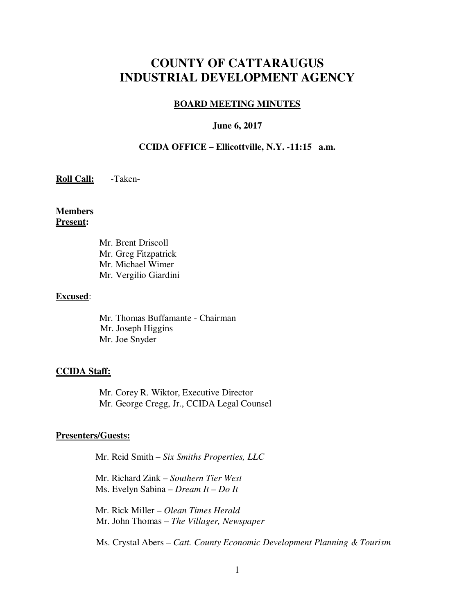# **COUNTY OF CATTARAUGUS INDUSTRIAL DEVELOPMENT AGENCY**

#### **BOARD MEETING MINUTES**

#### **June 6, 2017**

### **CCIDA OFFICE – Ellicottville, N.Y. -11:15 a.m.**

### **Roll Call:** -Taken-

**Members Present:** 

> Mr. Brent Driscoll Mr. Greg Fitzpatrick Mr. Michael Wimer Mr. Vergilio Giardini

#### **Excused**:

 Mr. Thomas Buffamante - Chairman Mr. Joseph Higgins Mr. Joe Snyder

#### **CCIDA Staff:**

Mr. Corey R. Wiktor, Executive Director Mr. George Cregg, Jr., CCIDA Legal Counsel

#### **Presenters/Guests:**

Mr. Reid Smith – *Six Smiths Properties, LLC* 

Mr. Richard Zink – *Southern Tier West* Ms. Evelyn Sabina – *Dream It – Do It* 

 Mr. Rick Miller – *Olean Times Herald*  Mr. John Thomas – *The Villager, Newspaper* 

Ms. Crystal Abers – *Catt. County Economic Development Planning & Tourism*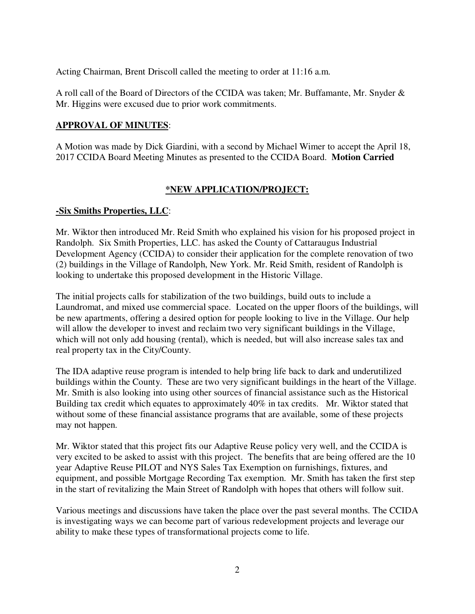Acting Chairman, Brent Driscoll called the meeting to order at 11:16 a.m.

A roll call of the Board of Directors of the CCIDA was taken; Mr. Buffamante, Mr. Snyder & Mr. Higgins were excused due to prior work commitments.

### **APPROVAL OF MINUTES**:

A Motion was made by Dick Giardini, with a second by Michael Wimer to accept the April 18, 2017 CCIDA Board Meeting Minutes as presented to the CCIDA Board. **Motion Carried** 

### **\*NEW APPLICATION/PROJECT:**

### **-Six Smiths Properties, LLC**:

Mr. Wiktor then introduced Mr. Reid Smith who explained his vision for his proposed project in Randolph. Six Smith Properties, LLC. has asked the County of Cattaraugus Industrial Development Agency (CCIDA) to consider their application for the complete renovation of two (2) buildings in the Village of Randolph, New York. Mr. Reid Smith, resident of Randolph is looking to undertake this proposed development in the Historic Village.

The initial projects calls for stabilization of the two buildings, build outs to include a Laundromat, and mixed use commercial space. Located on the upper floors of the buildings, will be new apartments, offering a desired option for people looking to live in the Village. Our help will allow the developer to invest and reclaim two very significant buildings in the Village, which will not only add housing (rental), which is needed, but will also increase sales tax and real property tax in the City/County.

The IDA adaptive reuse program is intended to help bring life back to dark and underutilized buildings within the County. These are two very significant buildings in the heart of the Village. Mr. Smith is also looking into using other sources of financial assistance such as the Historical Building tax credit which equates to approximately 40% in tax credits. Mr. Wiktor stated that without some of these financial assistance programs that are available, some of these projects may not happen.

Mr. Wiktor stated that this project fits our Adaptive Reuse policy very well, and the CCIDA is very excited to be asked to assist with this project. The benefits that are being offered are the 10 year Adaptive Reuse PILOT and NYS Sales Tax Exemption on furnishings, fixtures, and equipment, and possible Mortgage Recording Tax exemption. Mr. Smith has taken the first step in the start of revitalizing the Main Street of Randolph with hopes that others will follow suit.

Various meetings and discussions have taken the place over the past several months. The CCIDA is investigating ways we can become part of various redevelopment projects and leverage our ability to make these types of transformational projects come to life.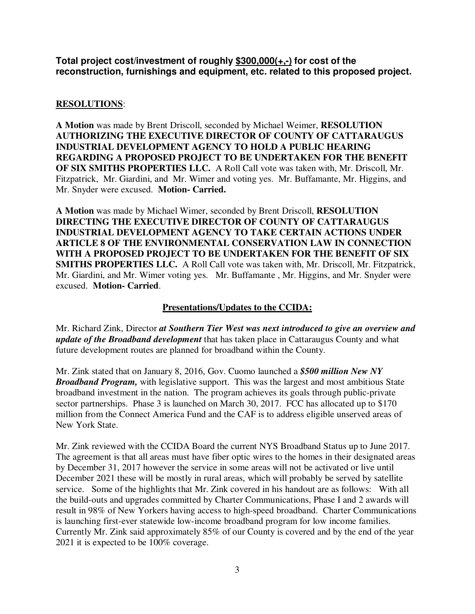**Total project cost/investment of roughly \$300,000(+,-) for cost of the reconstruction, furnishings and equipment, etc. related to this proposed project.**

# **RESOLUTIONS**:

**A Motion** was made by Brent Driscoll, seconded by Michael Weimer, **RESOLUTION AUTHORIZING THE EXECUTIVE DIRECTOR OF COUNTY OF CATTARAUGUS INDUSTRIAL DEVELOPMENT AGENCY TO HOLD A PUBLIC HEARING REGARDING A PROPOSED PROJECT TO BE UNDERTAKEN FOR THE BENEFIT OF SIX SMITHS PROPERTIES LLC.** A Roll Call vote was taken with, Mr. Driscoll, Mr. Fitzpatrick, Mr. Giardini, and Mr. Wimer and voting yes. Mr. Buffamante, Mr. Higgins, and Mr. Snyder were excused. **Motion- Carried.**

**A Motion** was made by Michael Wimer, seconded by Brent Driscoll, **RESOLUTION DIRECTING THE EXECUTIVE DIRECTOR OF COUNTY OF CATTARAUGUS INDUSTRIAL DEVELOPMENT AGENCY TO TAKE CERTAIN ACTIONS UNDER ARTICLE 8 OF THE ENVIRONMENTAL CONSERVATION LAW IN CONNECTION WITH A PROPOSED PROJECT TO BE UNDERTAKEN FOR THE BENEFIT OF SIX SMITHS PROPERTIES LLC.** A Roll Call vote was taken with, Mr. Driscoll, Mr. Fitzpatrick, Mr. Giardini, and Mr. Wimer voting yes. Mr. Buffamante , Mr. Higgins, and Mr. Snyder were excused. **Motion- Carried**.

## **Presentations/Updates to the CCIDA:**

Mr. Richard Zink, Director *at Southern Tier West was next introduced to give an overview and update of the Broadband development* that has taken place in Cattaraugus County and what future development routes are planned for broadband within the County.

Mr. Zink stated that on January 8, 2016, Gov. Cuomo launched a *\$500 million New NY Broadband Program,* with legislative support. This was the largest and most ambitious State broadband investment in the nation. The program achieves its goals through public-private sector partnerships. Phase 3 is launched on March 30, 2017. FCC has allocated up to \$170 million from the Connect America Fund and the CAF is to address eligible unserved areas of New York State.

Mr. Zink reviewed with the CCIDA Board the current NYS Broadband Status up to June 2017. The agreement is that all areas must have fiber optic wires to the homes in their designated areas by December 31, 2017 however the service in some areas will not be activated or live until December 2021 these will be mostly in rural areas, which will probably be served by satellite service. Some of the highlights that Mr. Zink covered in his handout are as follows: With all the build-outs and upgrades committed by Charter Communications, Phase I and 2 awards will result in 98% of New Yorkers having access to high-speed broadband. Charter Communications is launching first-ever statewide low-income broadband program for low income families. Currently Mr. Zink said approximately 85% of our County is covered and by the end of the year 2021 it is expected to be 100% coverage.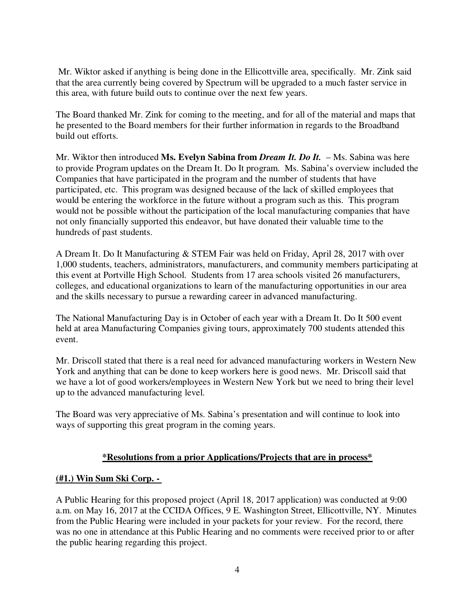Mr. Wiktor asked if anything is being done in the Ellicottville area, specifically. Mr. Zink said that the area currently being covered by Spectrum will be upgraded to a much faster service in this area, with future build outs to continue over the next few years.

The Board thanked Mr. Zink for coming to the meeting, and for all of the material and maps that he presented to the Board members for their further information in regards to the Broadband build out efforts.

Mr. Wiktor then introduced **Ms. Evelyn Sabina from** *Dream It. Do It.* – Ms. Sabina was here to provide Program updates on the Dream It. Do It program. Ms. Sabina's overview included the Companies that have participated in the program and the number of students that have participated, etc. This program was designed because of the lack of skilled employees that would be entering the workforce in the future without a program such as this. This program would not be possible without the participation of the local manufacturing companies that have not only financially supported this endeavor, but have donated their valuable time to the hundreds of past students.

A Dream It. Do It Manufacturing & STEM Fair was held on Friday, April 28, 2017 with over 1,000 students, teachers, administrators, manufacturers, and community members participating at this event at Portville High School. Students from 17 area schools visited 26 manufacturers, colleges, and educational organizations to learn of the manufacturing opportunities in our area and the skills necessary to pursue a rewarding career in advanced manufacturing.

The National Manufacturing Day is in October of each year with a Dream It. Do It 500 event held at area Manufacturing Companies giving tours, approximately 700 students attended this event.

Mr. Driscoll stated that there is a real need for advanced manufacturing workers in Western New York and anything that can be done to keep workers here is good news. Mr. Driscoll said that we have a lot of good workers/employees in Western New York but we need to bring their level up to the advanced manufacturing level.

The Board was very appreciative of Ms. Sabina's presentation and will continue to look into ways of supporting this great program in the coming years.

### **\*Resolutions from a prior Applications/Projects that are in process\***

### **(#1.) Win Sum Ski Corp. -**

A Public Hearing for this proposed project (April 18, 2017 application) was conducted at 9:00 a.m. on May 16, 2017 at the CCIDA Offices, 9 E. Washington Street, Ellicottville, NY. Minutes from the Public Hearing were included in your packets for your review. For the record, there was no one in attendance at this Public Hearing and no comments were received prior to or after the public hearing regarding this project.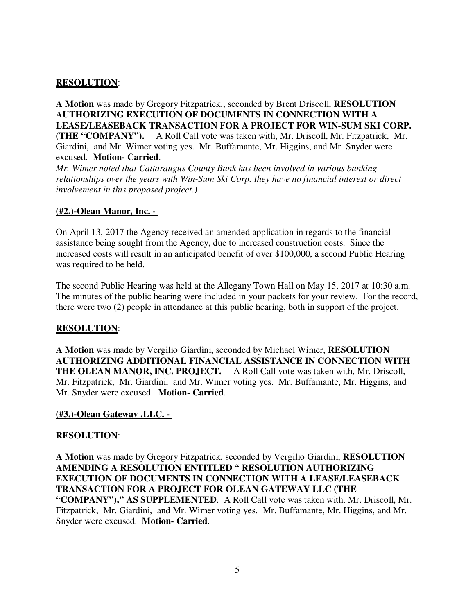### **RESOLUTION**:

**A Motion** was made by Gregory Fitzpatrick., seconded by Brent Driscoll, **RESOLUTION AUTHORIZING EXECUTION OF DOCUMENTS IN CONNECTION WITH A LEASE/LEASEBACK TRANSACTION FOR A PROJECT FOR WIN-SUM SKI CORP. (THE "COMPANY").** A Roll Call vote was taken with, Mr. Driscoll, Mr. Fitzpatrick, Mr. Giardini, and Mr. Wimer voting yes. Mr. Buffamante, Mr. Higgins, and Mr. Snyder were excused. **Motion- Carried**.

*Mr. Wimer noted that Cattaraugus County Bank has been involved in various banking relationships over the years with Win-Sum Ski Corp. they have no financial interest or direct involvement in this proposed project.)*

### **(#2.)-Olean Manor, Inc. -**

On April 13, 2017 the Agency received an amended application in regards to the financial assistance being sought from the Agency, due to increased construction costs. Since the increased costs will result in an anticipated benefit of over \$100,000, a second Public Hearing was required to be held.

The second Public Hearing was held at the Allegany Town Hall on May 15, 2017 at 10:30 a.m. The minutes of the public hearing were included in your packets for your review. For the record, there were two (2) people in attendance at this public hearing, both in support of the project.

### **RESOLUTION**:

**A Motion** was made by Vergilio Giardini, seconded by Michael Wimer, **RESOLUTION AUTHORIZING ADDITIONAL FINANCIAL ASSISTANCE IN CONNECTION WITH THE OLEAN MANOR, INC. PROJECT.** A Roll Call vote was taken with, Mr. Driscoll, Mr. Fitzpatrick, Mr. Giardini, and Mr. Wimer voting yes. Mr. Buffamante, Mr. Higgins, and Mr. Snyder were excused. **Motion- Carried**.

### **(#3.)-Olean Gateway ,LLC. -**

### **RESOLUTION**:

**A Motion** was made by Gregory Fitzpatrick, seconded by Vergilio Giardini, **RESOLUTION AMENDING A RESOLUTION ENTITLED " RESOLUTION AUTHORIZING EXECUTION OF DOCUMENTS IN CONNECTION WITH A LEASE/LEASEBACK TRANSACTION FOR A PROJECT FOR OLEAN GATEWAY LLC (THE "COMPANY")," AS SUPPLEMENTED**. A Roll Call vote was taken with, Mr. Driscoll, Mr. Fitzpatrick, Mr. Giardini, and Mr. Wimer voting yes. Mr. Buffamante, Mr. Higgins, and Mr. Snyder were excused. **Motion- Carried**.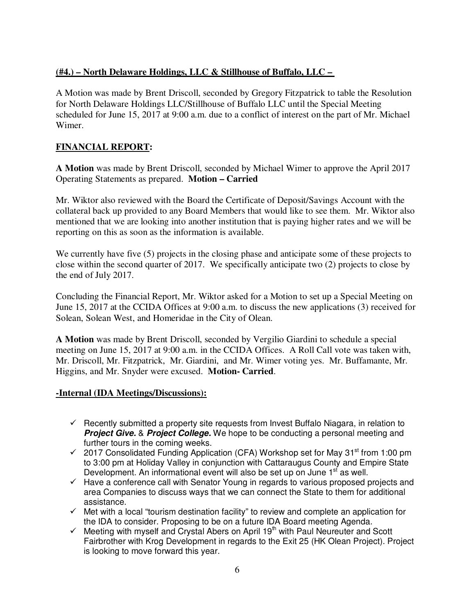## **(#4.) – North Delaware Holdings, LLC & Stillhouse of Buffalo, LLC –**

A Motion was made by Brent Driscoll, seconded by Gregory Fitzpatrick to table the Resolution for North Delaware Holdings LLC/Stillhouse of Buffalo LLC until the Special Meeting scheduled for June 15, 2017 at 9:00 a.m. due to a conflict of interest on the part of Mr. Michael Wimer.

# **FINANCIAL REPORT:**

**A Motion** was made by Brent Driscoll, seconded by Michael Wimer to approve the April 2017 Operating Statements as prepared. **Motion – Carried** 

Mr. Wiktor also reviewed with the Board the Certificate of Deposit/Savings Account with the collateral back up provided to any Board Members that would like to see them. Mr. Wiktor also mentioned that we are looking into another institution that is paying higher rates and we will be reporting on this as soon as the information is available.

We currently have five (5) projects in the closing phase and anticipate some of these projects to close within the second quarter of 2017. We specifically anticipate two (2) projects to close by the end of July 2017.

Concluding the Financial Report, Mr. Wiktor asked for a Motion to set up a Special Meeting on June 15, 2017 at the CCIDA Offices at 9:00 a.m. to discuss the new applications (3) received for Solean, Solean West, and Homeridae in the City of Olean.

**A Motion** was made by Brent Driscoll, seconded by Vergilio Giardini to schedule a special meeting on June 15, 2017 at 9:00 a.m. in the CCIDA Offices. A Roll Call vote was taken with, Mr. Driscoll, Mr. Fitzpatrick, Mr. Giardini, and Mr. Wimer voting yes. Mr. Buffamante, Mr. Higgins, and Mr. Snyder were excused. **Motion- Carried**.

### **-Internal (IDA Meetings/Discussions):**

- $\checkmark$  Recently submitted a property site requests from Invest Buffalo Niagara, in relation to *Project Give.* & *Project College.* We hope to be conducting a personal meeting and further tours in the coming weeks.
- $\checkmark$  2017 Consolidated Funding Application (CFA) Workshop set for May 31<sup>st</sup> from 1:00 pm to 3:00 pm at Holiday Valley in conjunction with Cattaraugus County and Empire State Development. An informational event will also be set up on June 1<sup>st</sup> as well.
- $\checkmark$  Have a conference call with Senator Young in regards to various proposed projects and area Companies to discuss ways that we can connect the State to them for additional assistance.
- $\checkmark$  Met with a local "tourism destination facility" to review and complete an application for the IDA to consider. Proposing to be on a future IDA Board meeting Agenda.
- $\checkmark$  Meeting with myself and Crystal Abers on April 19<sup>th</sup> with Paul Neureuter and Scott Fairbrother with Krog Development in regards to the Exit 25 (HK Olean Project). Project is looking to move forward this year.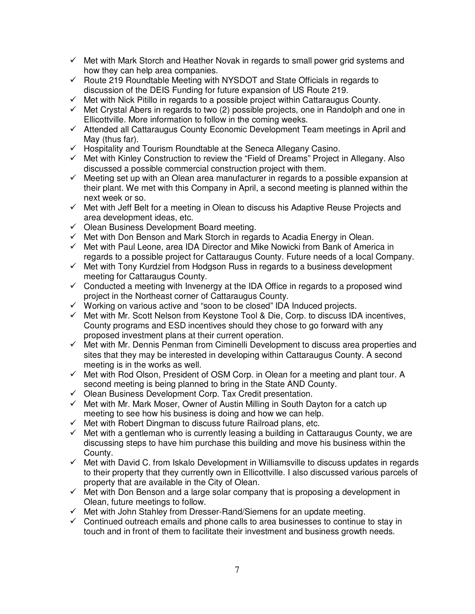- $\checkmark$  Met with Mark Storch and Heather Novak in regards to small power grid systems and how they can help area companies.
- $\checkmark$  Route 219 Roundtable Meeting with NYSDOT and State Officials in regards to discussion of the DEIS Funding for future expansion of US Route 219.
- $\checkmark$  Met with Nick Pitillo in regards to a possible project within Cattaraugus County.
- $\checkmark$  Met Crystal Abers in regards to two (2) possible projects, one in Randolph and one in Ellicottville. More information to follow in the coming weeks.
- $\checkmark$  Attended all Cattaraugus County Economic Development Team meetings in April and May (thus far).
- $\checkmark$  Hospitality and Tourism Roundtable at the Seneca Allegany Casino.
- $\checkmark$  Met with Kinley Construction to review the "Field of Dreams" Project in Allegany. Also discussed a possible commercial construction project with them.
- $\checkmark$  Meeting set up with an Olean area manufacturer in regards to a possible expansion at their plant. We met with this Company in April, a second meeting is planned within the next week or so.
- $\checkmark$  Met with Jeff Belt for a meeting in Olean to discuss his Adaptive Reuse Projects and area development ideas, etc.
- $\checkmark$  Olean Business Development Board meeting.
- $\checkmark$  Met with Don Benson and Mark Storch in regards to Acadia Energy in Olean.
- $\checkmark$  Met with Paul Leone, area IDA Director and Mike Nowicki from Bank of America in regards to a possible project for Cattaraugus County. Future needs of a local Company.
- $\checkmark$  Met with Tony Kurdziel from Hodgson Russ in regards to a business development meeting for Cattaraugus County.
- $\checkmark$  Conducted a meeting with Invenergy at the IDA Office in regards to a proposed wind project in the Northeast corner of Cattaraugus County.
- $\checkmark$  Working on various active and "soon to be closed" IDA Induced projects.
- $\checkmark$  Met with Mr. Scott Nelson from Keystone Tool & Die, Corp. to discuss IDA incentives, County programs and ESD incentives should they chose to go forward with any proposed investment plans at their current operation.
- $\checkmark$  Met with Mr. Dennis Penman from Ciminelli Development to discuss area properties and sites that they may be interested in developing within Cattaraugus County. A second meeting is in the works as well.
- $\checkmark$  Met with Rod Olson, President of OSM Corp. in Olean for a meeting and plant tour. A second meeting is being planned to bring in the State AND County.
- $\checkmark$  Olean Business Development Corp. Tax Credit presentation.
- $\checkmark$  Met with Mr. Mark Moser, Owner of Austin Milling in South Dayton for a catch up meeting to see how his business is doing and how we can help.
- $\checkmark$  Met with Robert Dingman to discuss future Railroad plans, etc.
- $\checkmark$  Met with a gentleman who is currently leasing a building in Cattaraugus County, we are discussing steps to have him purchase this building and move his business within the County.
- $\checkmark$  Met with David C. from Iskalo Development in Williamsville to discuss updates in regards to their property that they currently own in Ellicottville. I also discussed various parcels of property that are available in the City of Olean.
- $\checkmark$  Met with Don Benson and a large solar company that is proposing a development in Olean, future meetings to follow.
- $\checkmark$  Met with John Stahley from Dresser-Rand/Siemens for an update meeting.
- $\checkmark$  Continued outreach emails and phone calls to area businesses to continue to stay in touch and in front of them to facilitate their investment and business growth needs.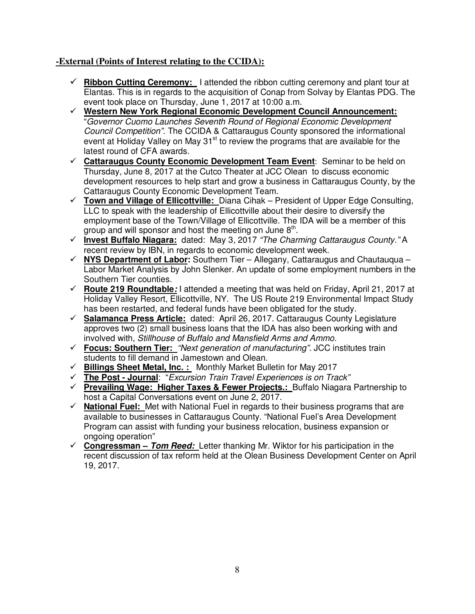# **-External (Points of Interest relating to the CCIDA):**

- **Ribbon Cutting Ceremony:** I attended the ribbon cutting ceremony and plant tour at Elantas. This is in regards to the acquisition of Conap from Solvay by Elantas PDG. The event took place on Thursday, June 1, 2017 at 10:00 a.m.
- **Western New York Regional Economic Development Council Announcement:** "Governor Cuomo Launches Seventh Round of Regional Economic Development Council Competition". The CCIDA & Cattaraugus County sponsored the informational event at Holiday Valley on May  $31<sup>st</sup>$  to review the programs that are available for the latest round of CFA awards.
- **Cattaraugus County Economic Development Team Event**: Seminar to be held on Thursday, June 8, 2017 at the Cutco Theater at JCC Olean to discuss economic development resources to help start and grow a business in Cattaraugus County, by the Cattaraugus County Economic Development Team.
- **Town and Village of Ellicottville:** Diana Cihak President of Upper Edge Consulting, LLC to speak with the leadership of Ellicottville about their desire to diversify the employment base of the Town/Village of Ellicottville. The IDA will be a member of this group and will sponsor and host the meeting on June  $8<sup>th</sup>$ .
- **Invest Buffalo Niagara:** dated: May 3, 2017 "The Charming Cattaraugus County." A recent review by IBN, in regards to economic development week.
- **NYS Department of Labor:** Southern Tier Allegany, Cattaraugus and Chautauqua Labor Market Analysis by John Slenker. An update of some employment numbers in the Southern Tier counties.
- **Route 219 Roundtable***:* I attended a meeting that was held on Friday, April 21, 2017 at Holiday Valley Resort, Ellicottville, NY. The US Route 219 Environmental Impact Study has been restarted, and federal funds have been obligated for the study.
- **Salamanca Press Article:** dated: April 26, 2017. Cattaraugus County Legislature approves two (2) small business loans that the IDA has also been working with and involved with, Stillhouse of Buffalo and Mansfield Arms and Ammo.
- **Focus: Southern Tier:** "Next generation of manufacturing". JCC institutes train students to fill demand in Jamestown and Olean.
- **Billings Sheet Metal, Inc. :** Monthly Market Bulletin for May 2017
- **The Post Journal**: "Excursion Train Travel Experiences is on Track"
- **Prevailing Wage: Higher Taxes & Fewer Projects.:** Buffalo Niagara Partnership to host a Capital Conversations event on June 2, 2017.
- **National Fuel:** Met with National Fuel in regards to their business programs that are available to businesses in Cattaraugus County. "National Fuel's Area Development Program can assist with funding your business relocation, business expansion or ongoing operation"
- **Congressman –** *Tom Reed:* Letter thanking Mr. Wiktor for his participation in the recent discussion of tax reform held at the Olean Business Development Center on April 19, 2017.